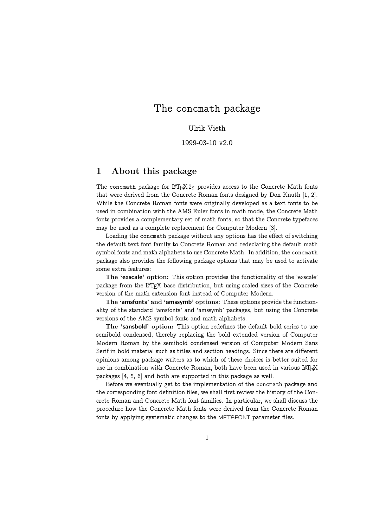# The concmath package

Ulrik Vieth

1999-03-10 v2.0

# 1 About this package

The concmath package for  $\text{LFLX } 2\varepsilon$  provides access to the Concrete Math fonts that were derived from the Concrete Roman fonts designed by Don Knuth [1, 2]. While the Concrete Roman fonts were originally developed as a text fonts to be used in combination with the AMS Euler fonts in math mode, the Concrete Math fonts provides a complementary set of math fonts, so that the Concrete typefaces may be used as a complete replacement for Computer Modern [3].

Loading the concmath package without any options has the effect of switching the default text font family to Concrete Roman and redeclaring the default math symbol fonts and math alphabets to use Concrete Math. In addition, the concmath package also provides the following package options that may be used to activate some extra features:

The 'exscale' option: This option provides the functionality of the 'exscale' package from the LATEX base distribution, but using scaled sizes of the Concrete version of the math extension font instead of Computer Modern.

The 'amsfonts' and 'amssymb' options: These options provide the functionality of the standard 'amsfonts' and 'amssymb' packages, but using the Concrete versions of the AMS symbol fonts and math alphabets.

The 'sansbold' option: This option redefines the default bold series to use semibold condensed, thereby replacing the bold extended version of Computer Modern Roman by the semibold condensed version of Computer Modern Sans Serif in bold material such as titles and section headings. Since there are different opinions among package writers as to which of these choices is better suited for use in combination with Concrete Roman, both have been used in various LATEX packages [4, 5, 6] and both are supported in this package as well.

Before we eventually get to the implementation of the concmath package and the corresponding font definition files, we shall first review the history of the Concrete Roman and Concrete Math font families. In particular, we shall discuss the procedure how the Concrete Math fonts were derived from the Concrete Roman fonts by applying systematic changes to the METAFONT parameter files.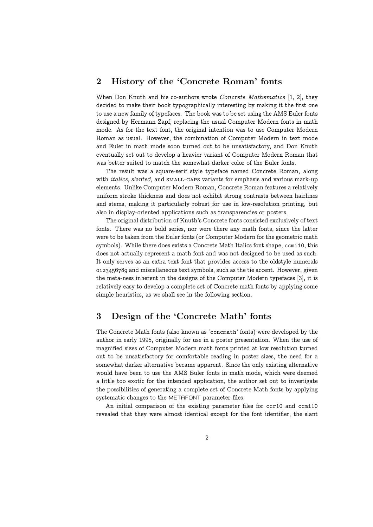# 2 History of the 'Concrete Roman' fonts

When Don Knuth and his co-authors wrote *Concrete Mathematics* [1, 2], they decided to make their book typographically interesting by making it the first one to use a new family of typefaces. The book was to be set using the AMS Euler fonts designed by Hermann Zapf, replacing the usual Computer Modern fonts in math mode. As for the text font, the original intention was to use Computer Modern Roman as usual. However, the combination of Computer Modern in text mode and Euler in math mode soon turned out to be unsatisfactory, and Don Knuth eventually set out to develop a heavier variant of Computer Modern Roman that was better suited to match the somewhat darker color of the Euler fonts.

The result was a square-serif style typeface named Concrete Roman, along with *italics*, slanted, and SMALL-CAPS variants for emphasis and various mark-up elements. Unlike Computer Modern Roman, Concrete Roman features a relatively uniform stroke thickness and does not exhibit strong contrasts between hairlines and stems, making it particularly robust for use in low-resolution printing, but also in display-oriented applications such as transparencies or posters.

The original distribution of Knuth's Concrete fonts consisted exclusively of text fonts. There was no bold series, nor were there any math fonts, since the latter were to be taken from the Euler fonts (or Computer Modern for the geometric math symbols). While there does exists a Concrete Math Italics font shape, ccmi10, this does not actually represent a math font and was not designed to be used as such. It only serves as an extra text font that provides access to the oldstyle numerals and miscellaneous text symbols, such as the tie accent. However, given the meta-ness inherent in the designs of the Computer Modern typefaces [3], it is relatively easy to develop a complete set of Concrete math fonts by applying some simple heuristics, as we shall see in the following section.

# 3 Design of the 'Concrete Math' fonts

The Concrete Math fonts (also known as 'concmath' fonts) were developed by the author in early 1995, originally for use in a poster presentation. When the use of magnified sizes of Computer Modern math fonts printed at low resolution turned out to be unsatisfactory for comfortable reading in poster sizes, the need for a somewhat darker alternative became apparent. Since the only existing alternative would have been to use the AMS Euler fonts in math mode, which were deemed a little too exotic for the intended application, the author set out to investigate the possibilities of generating a complete set of Concrete Math fonts by applying systematic changes to the METAFONT parameter files.

An initial comparison of the existing parameter files for ccr10 and ccmi10 revealed that they were almost identical except for the font identifier, the slant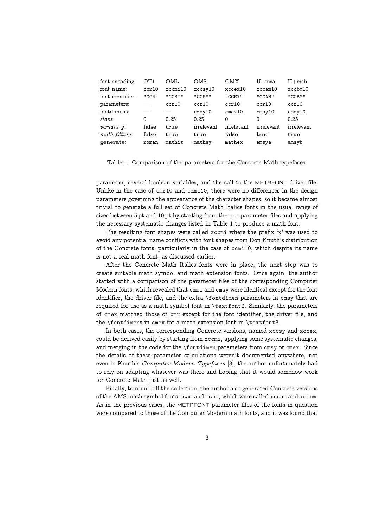| font encoding:                  | OT1   | OML     | OMS        | OMX          | $U+msa$    | $U+msb$    |
|---------------------------------|-------|---------|------------|--------------|------------|------------|
| font name:                      | ccr10 | xccmi10 | xccsy10    | xccex10      | xccam10    | xccbm10    |
| font identifier:                | "CCR" | "CCMI"  | "CCSY"     | "CCEX"       | "CCAM"     | "CCBM"     |
| parameters:                     |       | ccr10   | ccr10      | ccr10        | ccr10      | ccr10      |
| fontdimens:                     |       |         | $cms$ y 10 | $c$ mex $10$ | cmsv10     | $cms$ y 10 |
| slant:                          | 0     | 0.25    | 0.25       | <sup>0</sup> | O          | 0.25       |
| $variant_q$ :                   | false | true    | irrelevant | irrelevant   | irrelevant | irrelevant |
| $math_{\text{math\_fitting}}$ : | false | true    | true       | false        | true       | true       |
| generate:                       | roman | mathit  | mathsy     | mathex       | amsya      | amsyb      |

Table 1: Comparison of the parameters for the Concrete Math typefaces.

parameter, several boolean variables, and the call to the METAFONT driver file. Unlike in the case of cmr10 and cmmi10, there were no differences in the design parameters governing the appearance of the character shapes, so it became almost trivial to generate a full set of Concrete Math Italics fonts in the usual range of sizes between 5 pt and 10 pt by starting from the ccr parameter files and applying the necessary systematic changes listed in Table 1 to produce a math font.

The resulting font shapes were called xccmi where the prefix 'x' was used to avoid any potential name conflicts with font shapes from Don Knuth's distribution of the Concrete fonts, particularly in the case of ccmi10, which despite its name is not a real math font, as discussed earlier.

After the Concrete Math Italics fonts were in place, the next step was to create suitable math symbol and math extension fonts. Once again, the author started with a comparison of the parameter files of the corresponding Computer Modern fonts, which revealed that cmmi and cmsy were identical except for the font identifier, the driver file, and the extra \fontdimen parameters in cmsy that are required for use as a math symbol font in \textfont2. Similarly, the parameters of cmex matched those of cmr except for the font identifier, the driver file, and the \fontdimens in cmex for a math extension font in \textfont3.

In both cases, the corresponding Concrete versions, named xccsy and xccex, could be derived easily by starting from xccmi, applying some systematic changes, and merging in the code for the \fontdimen parameters from cmsy or cmex. Since the details of these parameter calculations weren't documented anywhere, not even in Knuth's Computer Modern Typefaces [3], the author unfortunately had to rely on adapting whatever was there and hoping that it would somehow work for Concrete Math just as well.

Finally, to round off the collection, the author also generated Concrete versions of the AMS math symbol fonts msam and msbm, which were called xccam and xccbm. As in the previous cases, the METAFONT parameter files of the fonts in question were compared to those of the Computer Modern math fonts, and it was found that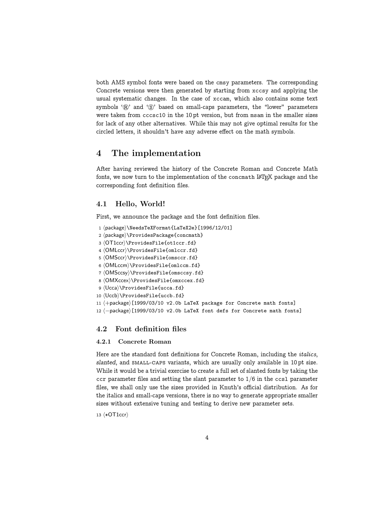both AMS symbol fonts were based on the cmsy parameters. The corresponding Concrete versions were then generated by starting from xccsy and applying the usual systematic changes. In the case of xccam, which also contains some text symbols ' $\mathbb{R}$ ' and ' $\mathbb{S}$ ' based on small-caps parameters, the "lower" parameters were taken from cccsc10 in the 10 pt version, but from msam in the smaller sizes for lack of any other alternatives. While this may not give optimal results for the circled letters, it shouldn't have any adverse effect on the math symbols.

# 4 The implementation

After having reviewed the history of the Concrete Roman and Concrete Math fonts, we now turn to the implementation of the concmath  $\mathbb{F}T_F X$  package and the corresponding font definition files.

## 4.1 Hello, World!

First, we announce the package and the font definition files.

- 1 (package)\NeedsTeXFormat{LaTeX2e}[1996/12/01]
- 2 (package)\ProvidesPackage{concmath}
- 3  $\langle$ OT1ccr $\rangle\$ ProvidesFile{ot1ccr.fd}
- 4  $\langle$ OMLccr $\rangle\$ ProvidesFile{omlccr.fd}
- 5 (OMSccr)\ProvidesFile{omsccr.fd}
- $6 \langle OMLccm\rangle\$ ProvidesFile{omlccm.fd}
- 7  $\langle$ OMSccsy $\rangle$ \ProvidesFile{omsccsy.fd}
- 8  $\langle$  OMXccex $\rangle$ \ProvidesFile{omxccex.fd}
- 9 (Ucca)\ProvidesFile{ucca.fd}
- 10 (Uccb)\ProvidesFile{uccb.fd}
- 11  $\langle +$ package $\rangle$ [1999/03/10 v2.0b LaTeX package for Concrete math fonts]
- 12 (-package)[1999/03/10 v2.0b LaTeX font defs for Concrete math fonts]

## 4.2 Font definition files

#### 4.2.1 Concrete Roman

Here are the standard font definitions for Concrete Roman, including the italics, slanted, and small-caps variants, which are usually only available in 10 pt size. While it would be a trivial exercise to create a full set of slanted fonts by taking the ccr parameter files and setting the slant parameter to  $1/6$  in the ccsl parameter files, we shall only use the sizes provided in Knuth's official distribution. As for the italics and small-caps versions, there is no way to generate appropriate smaller sizes without extensive tuning and testing to derive new parameter sets.

13 (\*OT1ccr)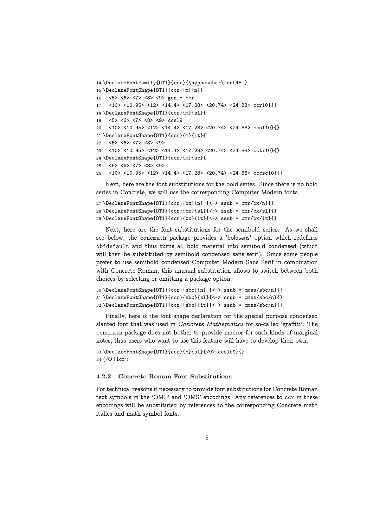```
14 \DeclareFontFamily{OT1}{ccr}{\hyphenchar\font45 }
15 \DeclareFontShape{OT1}{ccr}{m}{n}{
16 <5> <6> <7> <8> <9> gen * ccr
17 <10> <10.95> <12> <14.4> <17.28> <20.74> <24.88> ccr10}{}
18 \DeclareFontShape{OT1}{ccr}{m}{sl}{
19 <5> <6> <7> <8> <9> ccsl9
20 <10> <10.95> <12> <14.4> <17.28> <20.74> <24.88> ccsl10}{}
21 \DeclareFontShape{OT1}{ccr}{m}{it}{
22 <5> <6> <7> <8> <9>
23 <10> <10.95> <12> <14.4> <17.28> <20.74> <24.88> ccti10}{}
24 \DeclareFontShape{OT1}{ccr}{m}{sc}{
25 <5> <6> <7> <8> <9>
26 <10> <10.95> <12> <14.4> <17.28> <20.74> <24.88> cccsc10}{}
```
Next, here are the font substitutions for the bold series. Since there is no bold series in Concrete, we will use the corresponding Computer Modern fonts.

```
27 \DeclareFontShape{OT1}{ccr}{bx}{n} {<-> ssub * cmr/bx/n}{}
28 \DeclareFontShape{OT1}{ccr}{bx}{sl}{<-> ssub * cmr/bx/sl}{}
29 \DeclareFontShape{OT1}{ccr}{bx}{it}{<-> ssub * cmr/bx/it}{}
```
Next, here are the font substitutions for the semibold series. As we shall see below, the concmath package provides a 'boldsans' option which redefines \bfdefault and thus turns all bold material into semibold condensed (which will then be substituted by semibold condensed sans serif). Since some people prefer to use semibold condensed Computer Modern Sans Serif in combination with Concrete Roman, this unusual substitution allows to switch between both choices by selecting or omitting a package option.

```
30 \DeclareFontShape{OT1}{ccr}{sbc}{n} {<-> ssub * cmss/sbc/n}{}
31 \DeclareFontShape{OT1}{ccr}{sbc}{sl}{<-> ssub * cmss/sbc/n}{}
32 \DeclareFontShape{OT1}{ccr}{sbc}{it}{<-> ssub * cmss/sbc/n}{}
```
Finally, here is the font shape declaration for the special purpose condensed slanted font that was used in Concrete Mathematics for so-called 'graffiti'. The concmath package does not bother to provide macros for such kinds of marginal notes, thus users who want to use this feature will have to develop their own.

33 \DeclareFontShape{OT1}{ccr}{c}{sl}{<9> ccslc9}{} 34  $\langle$ /OT1ccr $\rangle$ 

### 4.2.2 Concrete Roman Font Substitutions

For technical reasons it necessary to provide font substitutions for Concrete Roman text symbols in the 'OML' and 'OMS' encodings. Any references to ccr in these encodings will be substituted by references to the corresponding Concrete math italics and math symbol fonts.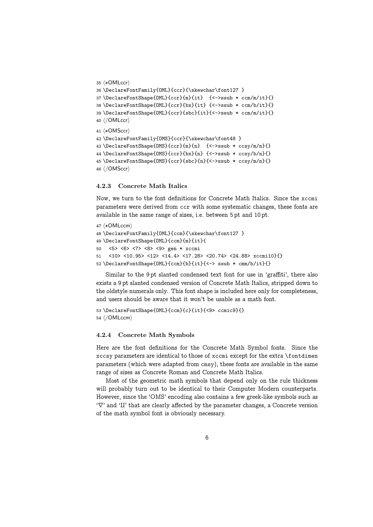```
35 (*OMLccr)
36 \DeclareFontFamily{OML}{ccr}{\skewchar\font127 }
37 \DeclareFontShape{OML}{ccr}{m}{it} {<->ssub * ccm/m/it}{}
38 \DeclareFontShape{OML}{ccr}{bx}{it} {<->ssub * ccm/b/it}{}
39 \DeclareFontShape{OML}{ccr}{sbc}{it}{<->ssub * ccm/m/it}{}
40 \langle/OMLccr\rangle41 \langle *OMSccr \rangle42 \DeclareFontFamily{OMS}{ccr}{\skewchar\font48 }
43 \DeclareFontShape{OMS}{ccr}{m}{n} {<->ssub * ccsy/m/n}{}
44 \DeclareFontShape{OMS}{ccr}{bx}{n} {<->ssub * ccsy/b/n}{}
45 \DeclareFontShape{OMS}{ccr}{sbc}{n}{<->ssub * ccsy/m/n}{}
46 (/OMSccr)
```
#### 4.2.3 Concrete Math Italics

Now, we turn to the font definitions for Concrete Math Italics. Since the xccmi parameters were derived from ccr with some systematic changes, these fonts are available in the same range of sizes, i.e. between 5 pt and 10 pt.

```
47 (*OMLccm)
48 \DeclareFontFamily{OML}{ccm}{\skewchar\font127 }
49 \DeclareFontShape{OML}{ccm}{m}{it}{
50 <5> <6> <7> <8> <9> gen * xccmi
51 <10> <10.95> <12> <14.4> <17.28> <20.74> <24.88> xccmi10}{}
52 \DeclareFontShape{OML}{ccm}{b}{it}{<-> ssub * cmm/b/it}{}
```
Similar to the 9 pt slanted condensed text font for use in 'graffiti', there also exists a 9 pt slanted condensed version of Concrete Math Italics, stripped down to the oldstyle numerals only. This font shape is included here only for completeness, and users should be aware that it won't be usable as a math font.

```
53 \DeclareFontShape{OML}{ccm}{c}{it}{<9> ccmic9}{}
54 \langle/OMLccm\rangle
```
#### 4.2.4 Concrete Math Symbols

Here are the font definitions for the Concrete Math Symbol fonts. Since the xccsy parameters are identical to those of xccmi except for the extra \fontdimen parameters (which were adapted from cmsy), these fonts are available in the same range of sizes as Concrete Roman and Concrete Math Italics.

Most of the geometric math symbols that depend only on the rule thickness will probably turn out to be identical to their Computer Modern counterparts. However, since the 'OMS' encoding also contains a few greek-like symbols such as  $\forall \nabla'$  and 'II' that are clearly affected by the parameter changes, a Concrete version of the math symbol font is obviously necessary.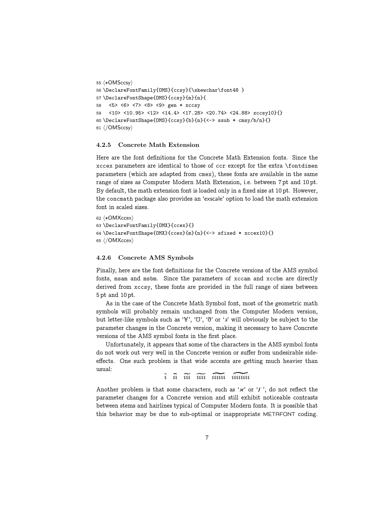```
55 (*OMSccsy)
56 \DeclareFontFamily{OMS}{ccsy}{\skewchar\font48 }
57 \DeclareFontShape{OMS}{ccsy}{m}{n}{
58 <5> <6> <7> <8> <9> gen * xccsy
59 <10> <10.95> <12> <14.4> <17.28> <20.74> <24.88> xccsy10}{}
60 \DeclareFontShape{OMS}{ccsy}{b}{n}{<-> ssub * cmsy/b/n}{}
61 (/OMSccsy)
```
#### 4.2.5 Concrete Math Extension

Here are the font definitions for the Concrete Math Extension fonts. Since the xccex parameters are identical to those of ccr except for the extra \fontdimen parameters (which are adapted from cmex), these fonts are available in the same range of sizes as Computer Modern Math Extension, i.e. between 7 pt and 10 pt. By default, the math extension font is loaded only in a fixed size at 10 pt. However, the concmath package also provides an 'exscale' option to load the math extension font in scaled sizes.

```
62 (*OMXccex)
63 \DeclareFontFamily{OMX}{ccex}{}
64 \DeclareFontShape{OMX}{ccex}{m}{n}{<-> sfixed * xccex10}{}
65 \langle/OMXccex)
```
#### 4.2.6 Concrete AMS Symbols

Finally, here are the font definitions for the Concrete versions of the AMS symbol fonts, msam and msbm. Since the parameters of xccam and xccbm are directly derived from xccsy, these fonts are provided in the full range of sizes between 5 pt and 10 pt.

As in the case of the Concrete Math Symbol font, most of the geometric math symbols will probably remain unchanged from the Computer Modern version, but letter-like symbols such as '\'', ''O', ' $\eth'$ ' or ' $\Box'$ ' will obviously be subject to the parameter changes in the Concrete version, making it necessary to have Concrete versions of the AMS symbol fonts in the first place.

Unfortunately, it appears that some of the characters in the AMS symbol fonts do not work out very well in the Concrete version or suffer from undesirable sideeffects. One such problem is that wide accents are getting much heavier than usual:

 $\tilde{i}$   $\tilde{ii}$   $\tilde{iii}$   $\tilde{iii}$   $\tilde{iviii}$ 

Another problem is that some characters, such as ' $x'$ ' or ' $F'$ ', do not reflect the parameter changes for a Concrete version and still exhibit noticeable contrasts between stems and hairlines typical of Computer Modern fonts. It is possible that this behavior may be due to sub-optimal or inappropriate METAFONT coding.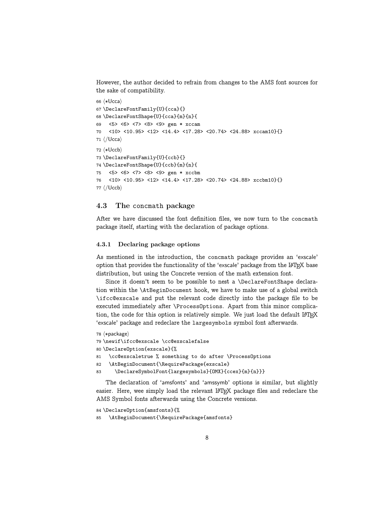However, the author decided to refrain from changes to the AMS font sources for the sake of compatibility.

```
66 (*Ucca)
67 \DeclareFontFamily{U}{cca}{}
68 \DeclareFontShape{U}{cca}{m}{n}{
69 <5> <6> <7> <8> <9> gen * xccam
70 <10> <10.95> <12> <14.4> <17.28> <20.74> <24.88> xccam10}{}
71 \langle/Ucca\rangle72 (*Uccb)
73 \DeclareFontFamily{U}{ccb}{}
74 \DeclareFontShape{U}{ccb}{m}{n}{
75 <5> <6> <7> <8> <9> gen * xccbm
76 <10> <10.95> <12> <14.4> <17.28> <20.74> <24.88> xccbm10}{}
77 \langle/Uccb\rangle
```
### 4.3 The concmath package

After we have discussed the font definition files, we now turn to the concmath package itself, starting with the declaration of package options.

### 4.3.1 Declaring package options

As mentioned in the introduction, the concmath package provides an 'exscale' option that provides the functionality of the 'exscale' package from the LATEX base distribution, but using the Concrete version of the math extension font.

Since it doesn't seem to be possible to nest a \DeclareFontShape declaration within the \AtBeginDocument hook, we have to make use of a global switch \ifcc@exscale and put the relevant code directly into the package file to be executed immediately after \ProcessOptions. Apart from this minor complication, the code for this option is relatively simple. We just load the default LATEX 'exscale' package and redeclare the largesymbols symbol font afterwards.

```
78 (*package)
79 \newif\ifcc@exscale \cc@exscalefalse
80 \DeclareOption{exscale}{%
81 \cc@exscaletrue % something to do after \ProcessOptions
82 \AtBeginDocument{\RequirePackage{exscale}
83 \DeclareSymbolFont{largesymbols}{OMX}{ccex}{m}{n}}}
```
The declaration of 'amsfonts' and 'amssymb' options is similar, but slightly easier. Here, wee simply load the relevant LAT<sub>EX</sub> package files and redeclare the AMS Symbol fonts afterwards using the Concrete versions.

84 \DeclareOption{amsfonts}{%

85 \AtBeginDocument{\RequirePackage{amsfonts}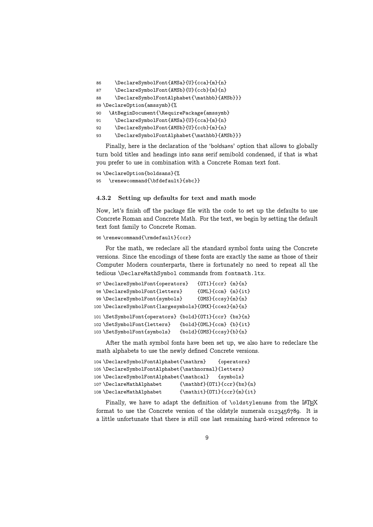```
86 \DeclareSymbolFont{AMSa}{U}{cca}{m}{n}
87 \DeclareSymbolFont{AMSb}{U}{ccb}{m}{n}
88 \DeclareSymbolFontAlphabet{\mathbb}{AMSb}}}
89 \DeclareOption{amssymb}{%
90 \AtBeginDocument{\RequirePackage{amssymb}
91 \DeclareSymbolFont{AMSa}{U}{cca}{m}{n}
92 \DeclareSymbolFont{AMSb}{U}{ccb}{m}{n}
93 \DeclareSymbolFontAlphabet{\mathbb}{AMSb}}}
```
Finally, here is the declaration of the 'boldsans' option that allows to globally turn bold titles and headings into sans serif semibold condensed, if that is what you prefer to use in combination with a Concrete Roman text font.

```
94 \DeclareOption{boldsans}{%
   \renewcommand{\bfdefault}{sbc}}
```
#### 4.3.2 Setting up defaults for text and math mode

Now, let's finish off the package file with the code to set up the defaults to use Concrete Roman and Concrete Math. For the text, we begin by setting the default text font family to Concrete Roman.

96 \renewcommand{\rmdefault}{ccr}

For the math, we redeclare all the standard symbol fonts using the Concrete versions. Since the encodings of these fonts are exactly the same as those of their Computer Modern counterparts, there is fortunately no need to repeat all the tedious \DeclareMathSymbol commands from fontmath.ltx.

```
97 \DeclareSymbolFont{operators} {OT1}{ccr} {m}{n}
98 \DeclareSymbolFont{letters} {OML}{ccm} {m}{it}
99 \DeclareSymbolFont{symbols} {OMS}{ccsy}{m}{n}
100 \DeclareSymbolFont{largesymbols}{OMX}{ccex}{m}{n}
101 \SetSymbolFont{operators} {bold}{OT1}{ccr} {bx}{n}
102 \SetSymbolFont{letters} {bold}{OML}{ccm} {b}{it}
103 \SetSymbolFont{symbols} {bold}{OMS}{ccsy}{b}{n}
```
After the math symbol fonts have been set up, we also have to redeclare the math alphabets to use the newly defined Concrete versions.

```
104 \DeclareSymbolFontAlphabet{\mathrm} {operators}
105 \DeclareSymbolFontAlphabet{\mathnormal}{letters}
106 \DeclareSymbolFontAlphabet{\mathcal} {symbols}
107 \DeclareMathAlphabet {\mathbf}{OT1}{ccr}{bx}{n}
108 \DeclareMathAlphabet {\mathit}{OT1}{ccr}{m}{it}
```
Finally, we have to adapt the definition of  $\delta$  distylenums from the LATEX format to use the Concrete version of the oldstyle numerals  $0.123456789$ . It is a little unfortunate that there is still one last remaining hard-wired reference to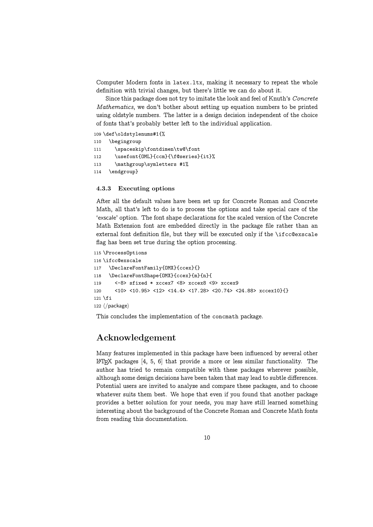Computer Modern fonts in latex.ltx, making it necessary to repeat the whole definition with trivial changes, but there's little we can do about it.

Since this package does not try to imitate the look and feel of Knuth's Concrete Mathematics, we don't bother about setting up equation numbers to be printed using oldstyle numbers. The latter is a design decision independent of the choice of fonts that's probably better left to the individual application.

#### 109 \def\oldstylenums#1{%

```
110 \begingroup
111 \spaceskip\fontdimen\tw@\font
112 \usefont{OML}{ccm}{\f@series}{it}%
113 \mathgroup\symletters #1%
114 \endgroup}
```
## 4.3.3 Executing options

After all the default values have been set up for Concrete Roman and Concrete Math, all that's left to do is to process the options and take special care of the 'exscale' option. The font shape declarations for the scaled version of the Concrete Math Extension font are embedded directly in the package file rather than an external font definition file, but they will be executed only if the \ifcc@exscale flag has been set true during the option processing.

```
115 \ProcessOptions
116 \ifcc@exscale
117 \DeclareFontFamily{OMX}{ccex}{}
118 \DeclareFontShape{OMX}{ccex}{m}{n}{
119 <-8> sfixed * xccex7 <8> xccex8 <9> xccex9
120 <10> <10.95> <12> <14.4> <17.28> <20.74> <24.88> xccex10}{}
121 \fi
122 \langle /package)
```
This concludes the implementation of the concmath package.

# Acknowledgement

Many features implemented in this package have been influenced by several other  $\Delta F$ <sub>EX</sub> packages [4, 5, 6] that provide a more or less similar functionality. The author has tried to remain compatible with these packages wherever possible, although some design decisions have been taken that may lead to subtle differences. Potential users are invited to analyze and compare these packages, and to choose whatever suits them best. We hope that even if you found that another package provides a better solution for your needs, you may have still learned something interesting about the background of the Concrete Roman and Concrete Math fonts from reading this documentation.